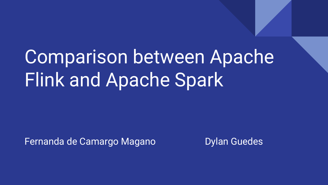# Comparison between Apache Flink and Apache Spark

Fernanda de Camargo Magano **Dylan Guedes**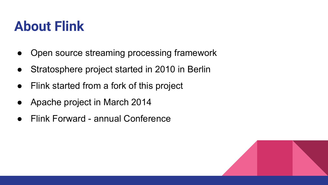#### **About Flink**

- Open source streaming processing framework
- Stratosphere project started in 2010 in Berlin
- Flink started from a fork of this project
- Apache project in March 2014
- **Flink Forward annual Conference**

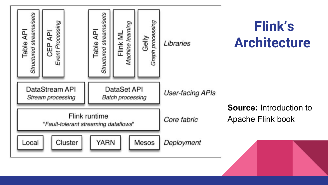

 **Flink's Architecture**

**Source:** Introduction to Apache Flink book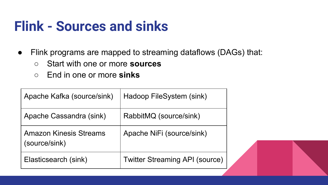#### **Flink - Sources and sinks**

- Flink programs are mapped to streaming dataflows (DAGs) that:
	- Start with one or more **sources**
	- End in one or more **sinks**

| Apache Kafka (source/sink)                     | Hadoop FileSystem (sink)              |
|------------------------------------------------|---------------------------------------|
| Apache Cassandra (sink)                        | RabbitMQ (source/sink)                |
| <b>Amazon Kinesis Streams</b><br>(source/sink) | Apache NiFi (source/sink)             |
| Elasticsearch (sink)                           | <b>Twitter Streaming API (source)</b> |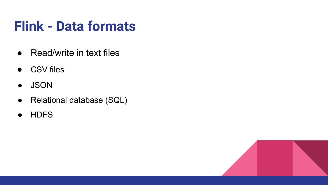### **Flink - Data formats**

- Read/write in text files
- CSV files
- JSON
- Relational database (SQL)
- HDFS

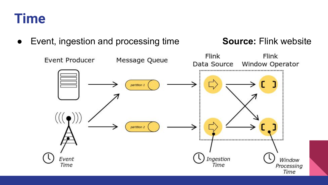

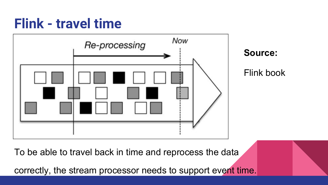#### **Flink - travel time**





Flink book

To be able to travel back in time and reprocess the data

correctly, the stream processor needs to support event time.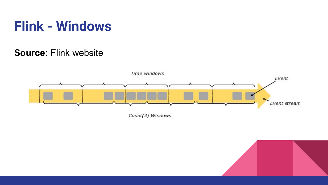#### **Flink - Windows**

#### **Source:** Flink website



Count(3) Windows

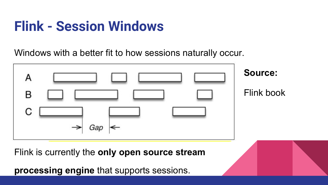### **Flink - Session Windows**

Windows with a better fit to how sessions naturally occur.



Flink is currently the **only open source stream** 

**processing engine** that supports sessions.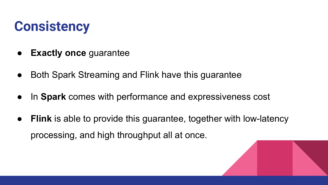#### **Consistency**

- **● Exactly once** guarantee
- **●** Both Spark Streaming and Flink have this guarantee
- **●** In **Spark** comes with performance and expressiveness cost
- **Flink** is able to provide this guarantee, together with low-latency processing, and high throughput all at once.

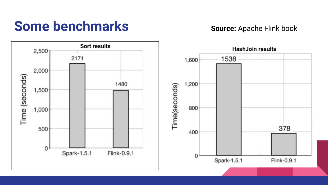#### **Some benchmarks Source:** Apache Flink book

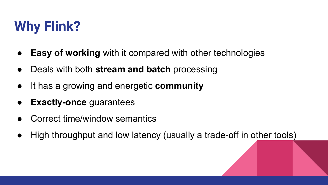## **Why Flink?**

- **Easy of working** with it compared with other technologies
- Deals with both **stream and batch** processing
- It has a growing and energetic **community**
- **Exactly-once** guarantees
- Correct time/window semantics
- High throughput and low latency (usually a trade-off in other tools)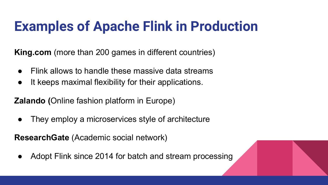## **Examples of Apache Flink in Production**

**King.com** (more than 200 games in different countries)

- Flink allows to handle these massive data streams
- It keeps maximal flexibility for their applications.

**Zalando (**Online fashion platform in Europe)

• They employ a microservices style of architecture

**ResearchGate** (Academic social network)

Adopt Flink since 2014 for batch and stream processing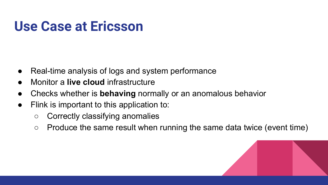#### **Use Case at Ericsson**

- Real-time analysis of logs and system performance
- **Monitor a live cloud infrastructure**
- Checks whether is **behaving** normally or an anomalous behavior
- Flink is important to this application to:
	- Correctly classifying anomalies
	- Produce the same result when running the same data twice (event time)

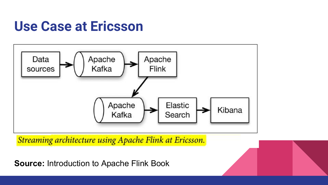#### **Use Case at Ericsson**



Streaming architecture using Apache Flink at Ericsson.

**Source:** Introduction to Apache Flink Book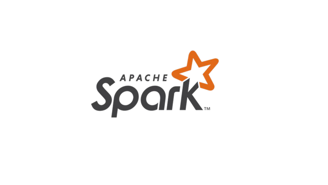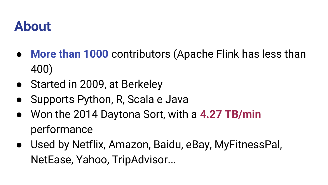#### **About**

- More than 1000 contributors (Apache Flink has less than 400)
- Started in 2009, at Berkeley
- Supports Python, R, Scala e Java
- Won the 2014 Daytona Sort, with a **4.27 TB/min** performance
- Used by Netflix, Amazon, Baidu, eBay, MyFitnessPal, NetEase, Yahoo, TripAdvisor...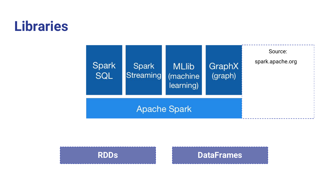#### **Libraries**





#### **RDDs DataFrames**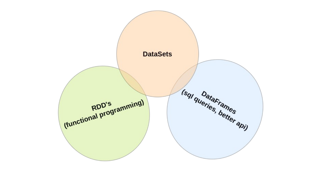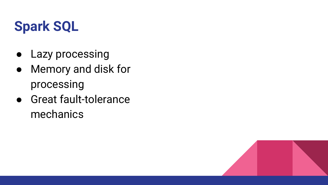### **Spark SQL**

- Lazy processing
- Memory and disk for processing
- Great fault-tolerance mechanics

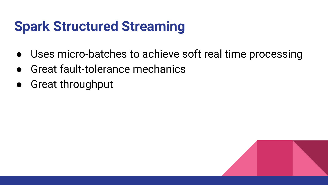### **Spark Structured Streaming**

- Uses micro-batches to achieve soft real time processing
- **Great fault-tolerance mechanics**
- Great throughput

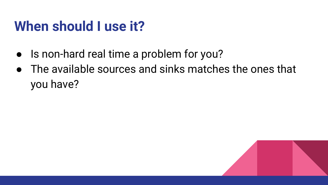#### **When should I use it?**

- Is non-hard real time a problem for you?
- The available sources and sinks matches the ones that you have?

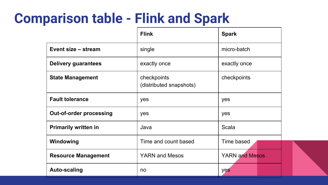#### **Comparison table - Flink and Spark**

|                                | <b>Flink</b>                           | <b>Spark</b>          |  |
|--------------------------------|----------------------------------------|-----------------------|--|
| Event size – stream            | single                                 | micro-batch           |  |
| <b>Delivery guarantees</b>     | exactly once                           | exactly once          |  |
| <b>State Management</b>        | checkpoints<br>(distributed snapshots) | checkpoints           |  |
| <b>Fault tolerance</b>         | yes                                    | yes                   |  |
| <b>Out-of-order processing</b> | yes                                    | yes                   |  |
| <b>Primarily written in</b>    | Java                                   | Scala                 |  |
| Windowing                      | Time and count based                   | Time based            |  |
| <b>Resource Management</b>     | <b>YARN and Mesos</b>                  | <b>YARN and Mesos</b> |  |
| <b>Auto-scaling</b>            | no                                     | yes                   |  |